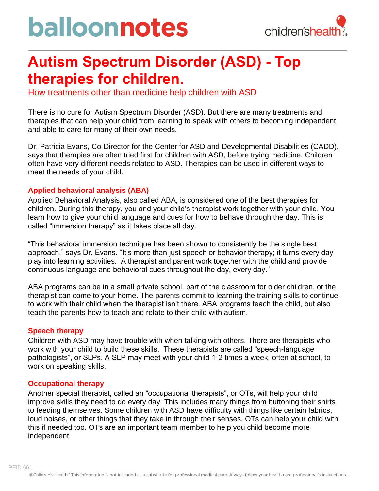# balloonnotes



### **Autism Spectrum Disorder (ASD) - Top therapies for children.**

How treatments other than medicine help children with ASD

There is no cure for Autism Spectrum Disorder (ASD). But there are many treatments and therapies that can help your child from learning to speak with others to becoming independent and able to care for many of their own needs.

Dr. Patricia Evans, Co-Director for the Center for ASD and Developmental Disabilities (CADD), says that therapies are often tried first for children with ASD, before trying medicine. Children often have very different needs related to ASD. Therapies can be used in different ways to meet the needs of your child.

#### **Applied behavioral analysis (ABA)**

Applied Behavioral Analysis, also called ABA, is considered one of the best therapies for children. During this therapy, you and your child's therapist work together with your child. You learn how to give your child language and cues for how to behave through the day. This is called "immersion therapy" as it takes place all day.

"This behavioral immersion technique has been shown to consistently be the single best approach," says Dr. Evans. "It's more than just speech or behavior therapy; it turns every day play into learning activities. A therapist and parent work together with the child and provide continuous language and behavioral cues throughout the day, every day."

ABA programs can be in a small private school, part of the classroom for older children, or the therapist can come to your home. The parents commit to learning the training skills to continue to work with their child when the therapist isn't there. ABA programs teach the child, but also teach the parents how to teach and relate to their child with autism.

#### **Speech therapy**

Children with ASD may have trouble with when talking with others. There are therapists who work with your child to build these skills. These therapists are called "speech-language pathologists", or SLPs. A SLP may meet with your child 1-2 times a week, often at school, to work on speaking skills.

#### **Occupational therapy**

Another special therapist, called an "occupational therapists", or OTs, will help your child improve skills they need to do every day. This includes many things from buttoning their shirts to feeding themselves. Some children with ASD have difficulty with things like certain fabrics, loud noises, or other things that they take in through their senses. OTs can help your child with this if needed too. OTs are an important team member to help you child become more independent.